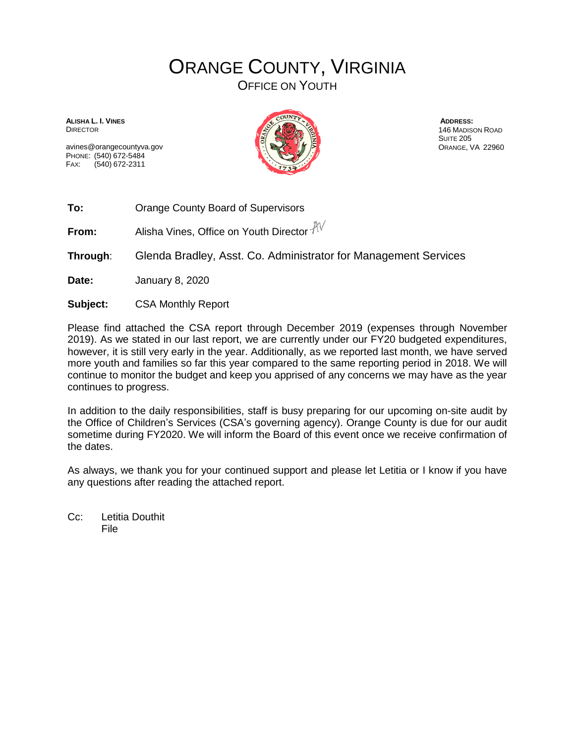## ORANGE COUNTY, VIRGINIA

OFFICE ON YOUTH

**ALISHA L. I. VINES** DIRECTOR

avines@orangecountyva.gov PHONE: (540) 672-5484 FAX: (540) 672-2311



**ADDRESS:** 146 MADISON ROAD SUITE 205 ORANGE, VA 22960

**To:** Orange County Board of Supervisors

**From:** Alisha Vines, Office on Youth Director  $\sqrt[4]{\sqrt{}}$ 

**Through**: Glenda Bradley, Asst. Co. Administrator for Management Services

**Date:** January 8, 2020

**Subject:** CSA Monthly Report

Please find attached the CSA report through December 2019 (expenses through November 2019). As we stated in our last report, we are currently under our FY20 budgeted expenditures, however, it is still very early in the year. Additionally, as we reported last month, we have served more youth and families so far this year compared to the same reporting period in 2018. We will continue to monitor the budget and keep you apprised of any concerns we may have as the year continues to progress.

In addition to the daily responsibilities, staff is busy preparing for our upcoming on-site audit by the Office of Children's Services (CSA's governing agency). Orange County is due for our audit sometime during FY2020. We will inform the Board of this event once we receive confirmation of the dates.

As always, we thank you for your continued support and please let Letitia or I know if you have any questions after reading the attached report.

Cc: Letitia Douthit File